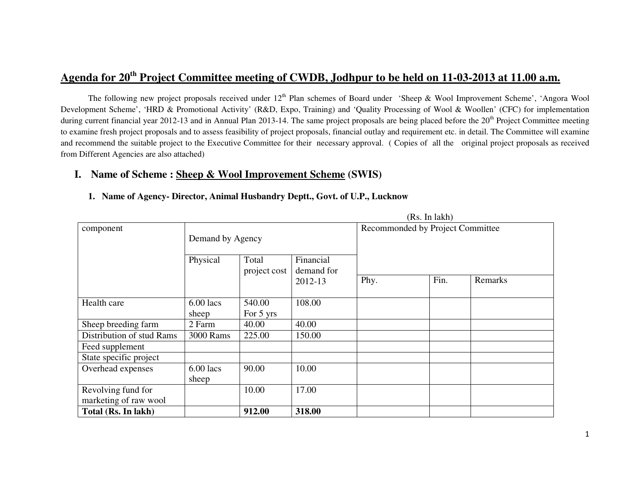# **Agenda for 20th Project Committee meeting of CWDB, Jodhpur to be held on 11-03-2013 at 11.00 a.m.**

The following new project proposals received under  $12<sup>th</sup>$  Plan schemes of Board under 'Sheep & Wool Improvement Scheme', 'Angora Wool Development Scheme', 'HRD & Promotional Activity' (R&D, Expo, Training) and 'Quality Processing of Wool & Woollen' (CFC) for implementation during current financial year 2012-13 and in Annual Plan 2013-14. The same project proposals are being placed before the 20<sup>th</sup> Project Committee meeting to examine fresh project proposals and to assess feasibility of project proposals, financial outlay and requirement etc. in detail. The Committee will examine and recommend the suitable project to the Executive Committee for their necessary approval. ( Copies of all the original project proposals as received from Different Agencies are also attached)

 $(Dc \text{ In } lab)$ 

### **I. Name of Scheme : Sheep & Wool Improvement Scheme (SWIS)**

#### **1. Name of Agency- Director, Animal Husbandry Deptt., Govt. of U.P., Lucknow**

|                           |                  |              | (RS, 111 IANII) |                                  |      |         |
|---------------------------|------------------|--------------|-----------------|----------------------------------|------|---------|
| component                 |                  |              |                 | Recommonded by Project Committee |      |         |
|                           | Demand by Agency |              |                 |                                  |      |         |
|                           |                  |              |                 |                                  |      |         |
|                           | Physical         | Total        | Financial       |                                  |      |         |
|                           |                  | project cost | demand for      |                                  |      |         |
|                           |                  |              | 2012-13         | Phy.                             | Fin. | Remarks |
|                           |                  |              |                 |                                  |      |         |
| Health care               | $6.00$ lacs      | 540.00       | 108.00          |                                  |      |         |
|                           | sheep            | For 5 yrs    |                 |                                  |      |         |
| Sheep breeding farm       | 2 Farm           | 40.00        | 40.00           |                                  |      |         |
| Distribution of stud Rams | 3000 Rams        | 225.00       | 150.00          |                                  |      |         |
| Feed supplement           |                  |              |                 |                                  |      |         |
| State specific project    |                  |              |                 |                                  |      |         |
| Overhead expenses         | $6.00$ lacs      | 90.00        | 10.00           |                                  |      |         |
|                           | sheep            |              |                 |                                  |      |         |
| Revolving fund for        |                  | 10.00        | 17.00           |                                  |      |         |
| marketing of raw wool     |                  |              |                 |                                  |      |         |
| Total (Rs. In lakh)       |                  | 912.00       | 318.00          |                                  |      |         |

1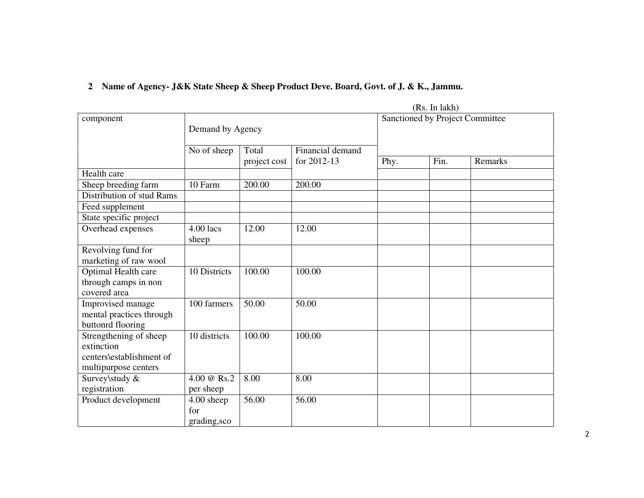# **2 Name of Agency- J&K State Sheep & Sheep Product Deve. Board, Govt. of J. & K., Jammu.**

|                                                                                          |                                   |              |                  |      | (Rs. In lak) |                                 |  |  |  |
|------------------------------------------------------------------------------------------|-----------------------------------|--------------|------------------|------|--------------|---------------------------------|--|--|--|
| component                                                                                | Demand by Agency                  |              |                  |      |              | Sanctioned by Project Committee |  |  |  |
|                                                                                          | No of sheep                       | Total        | Financial demand |      |              |                                 |  |  |  |
|                                                                                          |                                   | project cost | for 2012-13      | Phy. | Fin.         | Remarks                         |  |  |  |
| Health care                                                                              |                                   |              |                  |      |              |                                 |  |  |  |
| Sheep breeding farm                                                                      | 10 Farm                           | 200.00       | 200.00           |      |              |                                 |  |  |  |
| Distribution of stud Rams                                                                |                                   |              |                  |      |              |                                 |  |  |  |
| Feed supplement                                                                          |                                   |              |                  |      |              |                                 |  |  |  |
| State specific project                                                                   |                                   |              |                  |      |              |                                 |  |  |  |
| Overhead expenses                                                                        | 4.00 lacs<br>sheep                | 12.00        | 12.00            |      |              |                                 |  |  |  |
| Revolving fund for<br>marketing of raw wool                                              |                                   |              |                  |      |              |                                 |  |  |  |
| Optimal Health care<br>through camps in non<br>covered area                              | 10 Districts                      | 100.00       | 100.00           |      |              |                                 |  |  |  |
| Improvised manage<br>mental practices through<br>buttonrd flooring                       | $\overline{100}$ farmers          | 50.00        | 50.00            |      |              |                                 |  |  |  |
| Strengthening of sheep<br>extinction<br>centers\establishment of<br>multipurpose centers | 10 districts                      | 100.00       | 100.00           |      |              |                                 |  |  |  |
| Survey\study &                                                                           | 4.00 @ Rs.2                       | 8.00         | 8.00             |      |              |                                 |  |  |  |
| registration                                                                             | per sheep                         |              |                  |      |              |                                 |  |  |  |
| Product development                                                                      | 4.00 sheep<br>for<br>grading, sco | 56.00        | 56.00            |      |              |                                 |  |  |  |

2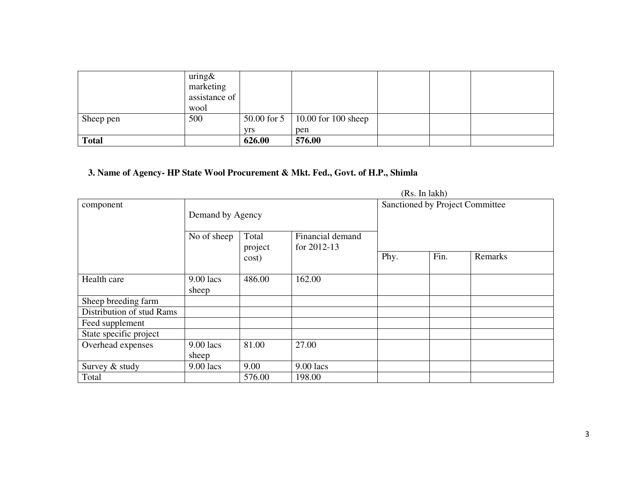|              | uring&<br>marketing<br>assistance of<br>wool |            |                                   |  |  |
|--------------|----------------------------------------------|------------|-----------------------------------|--|--|
| Sheep pen    | 500                                          |            | 50.00 for 5   10.00 for 100 sheep |  |  |
|              |                                              | <b>Vrs</b> | pen                               |  |  |
| <b>Total</b> |                                              | 626.00     | 576.00                            |  |  |

### **3. Name of Agency- HP State Wool Procurement & Mkt. Fed., Govt. of H.P., Shimla**

|                           |                      | (10.1)           |                                   |      |      |                                 |
|---------------------------|----------------------|------------------|-----------------------------------|------|------|---------------------------------|
| component                 |                      |                  |                                   |      |      | Sanctioned by Project Committee |
|                           | Demand by Agency     |                  |                                   |      |      |                                 |
|                           | No of sheep          | Total<br>project | Financial demand<br>for $2012-13$ |      |      |                                 |
|                           |                      | cost)            |                                   | Phy. | Fin. | Remarks                         |
| Health care               | $9.00$ lacs<br>sheep | 486.00           | 162.00                            |      |      |                                 |
| Sheep breeding farm       |                      |                  |                                   |      |      |                                 |
| Distribution of stud Rams |                      |                  |                                   |      |      |                                 |
| Feed supplement           |                      |                  |                                   |      |      |                                 |
| State specific project    |                      |                  |                                   |      |      |                                 |
| Overhead expenses         | 9.00 lacs            | 81.00            | 27.00                             |      |      |                                 |
|                           | sheep                |                  |                                   |      |      |                                 |
| Survey & study            | $9.00$ lacs          | 9.00             | 9.00 lacs                         |      |      |                                 |
| Total                     |                      | 576.00           | 198.00                            |      |      |                                 |

(Rs. In lakh)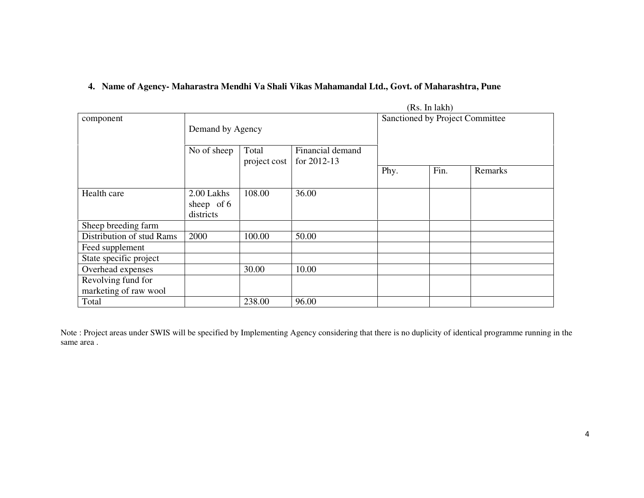#### **4. Name of Agency- Maharastra Mendhi Va Shali Vikas Mahamandal Ltd., Govt. of Maharashtra, Pune**

|                                             |                                         |                       |                                     |      | (Rs. In lakh) |                                 |
|---------------------------------------------|-----------------------------------------|-----------------------|-------------------------------------|------|---------------|---------------------------------|
| component                                   | Demand by Agency                        |                       |                                     |      |               | Sanctioned by Project Committee |
|                                             | No of sheep                             | Total<br>project cost | Financial demand<br>for $2012 - 13$ |      |               |                                 |
|                                             |                                         |                       |                                     | Phy. | Fin.          | Remarks                         |
| Health care                                 | 2.00 Lakhs<br>sheep of $6$<br>districts | 108.00                | 36.00                               |      |               |                                 |
| Sheep breeding farm                         |                                         |                       |                                     |      |               |                                 |
| Distribution of stud Rams                   | 2000                                    | 100.00                | 50.00                               |      |               |                                 |
| Feed supplement                             |                                         |                       |                                     |      |               |                                 |
| State specific project                      |                                         |                       |                                     |      |               |                                 |
| Overhead expenses                           |                                         | 30.00                 | 10.00                               |      |               |                                 |
| Revolving fund for<br>marketing of raw wool |                                         |                       |                                     |      |               |                                 |
| Total                                       |                                         | 238.00                | 96.00                               |      |               |                                 |

Note : Project areas under SWIS will be specified by Implementing Agency considering that there is no duplicity of identical programme running in the same area .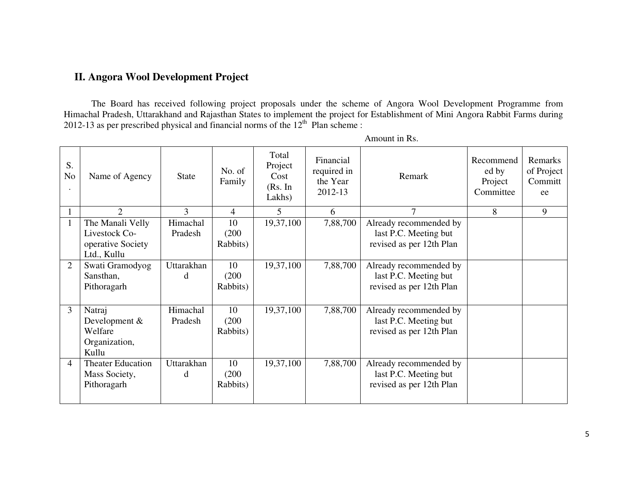## **II. Angora Wool Development Project**

The Board has received following project proposals under the scheme of Angora Wool Development Programme from Himachal Pradesh, Uttarakhand and Rajasthan States to implement the project for Establishment of Mini Angora Rabbit Farms during 2012-13 as per prescribed physical and financial norms of the 12<sup>th</sup> Plan scheme :

| S.<br>N <sub>o</sub> | Name of Agency                                                        | <b>State</b>               | No. of<br>Family        | Total<br>Project<br>Cost<br>(Rs. In<br>Lakhs) | Financial<br>required in<br>the Year<br>2012-13 | Remark                                                                      | Recommend<br>ed by<br>Project<br>Committee | Remarks<br>of Project<br>Committ<br>ee |
|----------------------|-----------------------------------------------------------------------|----------------------------|-------------------------|-----------------------------------------------|-------------------------------------------------|-----------------------------------------------------------------------------|--------------------------------------------|----------------------------------------|
|                      | $\mathcal{D}_{\mathcal{L}}$                                           | 3                          | 4                       | 5                                             | 6                                               | 7                                                                           | 8                                          | 9                                      |
|                      | The Manali Velly<br>Livestock Co-<br>operative Society<br>Ltd., Kullu | Himachal<br>Pradesh        | 10<br>(200)<br>Rabbits) | 19,37,100                                     | 7,88,700                                        | Already recommended by<br>last P.C. Meeting but<br>revised as per 12th Plan |                                            |                                        |
| $\overline{2}$       | Swati Gramodyog<br>Sansthan,<br>Pithoragarh                           | Uttarakhan<br><sub>d</sub> | 10<br>(200)<br>Rabbits) | 19,37,100                                     | 7,88,700                                        | Already recommended by<br>last P.C. Meeting but<br>revised as per 12th Plan |                                            |                                        |
| 3                    | Natraj<br>Development &<br>Welfare<br>Organization,<br>Kullu          | Himachal<br>Pradesh        | 10<br>(200)<br>Rabbits) | 19,37,100                                     | 7,88,700                                        | Already recommended by<br>last P.C. Meeting but<br>revised as per 12th Plan |                                            |                                        |
| $\overline{4}$       | <b>Theater Education</b><br>Mass Society,<br>Pithoragarh              | Uttarakhan<br>d            | 10<br>(200)<br>Rabbits) | 19,37,100                                     | 7,88,700                                        | Already recommended by<br>last P.C. Meeting but<br>revised as per 12th Plan |                                            |                                        |

Amount in Rs.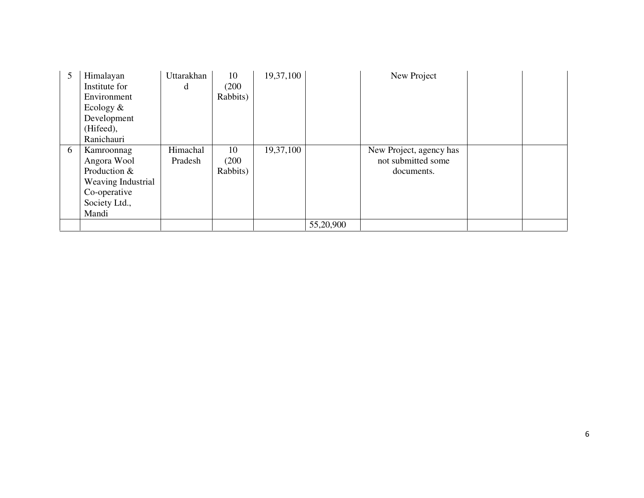| 5 | Himalayan          | Uttarakhan | 10       | 19,37,100 |           | New Project             |  |
|---|--------------------|------------|----------|-----------|-----------|-------------------------|--|
|   | Institute for      | d          | (200)    |           |           |                         |  |
|   | Environment        |            | Rabbits) |           |           |                         |  |
|   | Ecology $\&$       |            |          |           |           |                         |  |
|   | Development        |            |          |           |           |                         |  |
|   | (Hifeed),          |            |          |           |           |                         |  |
|   | Ranichauri         |            |          |           |           |                         |  |
| 6 | Kamroonnag         | Himachal   | 10       | 19,37,100 |           | New Project, agency has |  |
|   | Angora Wool        | Pradesh    | (200)    |           |           | not submitted some      |  |
|   | Production &       |            | Rabbits) |           |           | documents.              |  |
|   | Weaving Industrial |            |          |           |           |                         |  |
|   | Co-operative       |            |          |           |           |                         |  |
|   | Society Ltd.,      |            |          |           |           |                         |  |
|   | Mandi              |            |          |           |           |                         |  |
|   |                    |            |          |           | 55,20,900 |                         |  |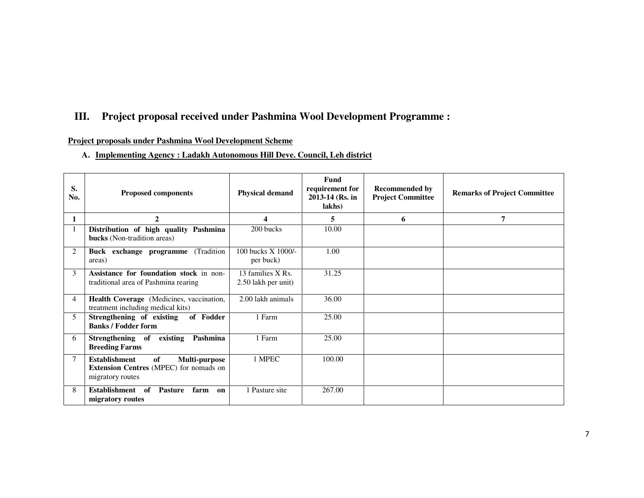## **III. Project proposal received under Pashmina Wool Development Programme :**

### **Project proposals under Pashmina Wool Development Scheme**

#### **A. Implementing Agency : Ladakh Autonomous Hill Deve. Council, Leh district**

| S.<br>No. | <b>Proposed components</b>                                                                                | <b>Physical demand</b>                   | <b>Fund</b><br>requirement for<br>2013-14 (Rs. in<br>lakhs) | <b>Recommended by</b><br><b>Project Committee</b> | <b>Remarks of Project Committee</b> |
|-----------|-----------------------------------------------------------------------------------------------------------|------------------------------------------|-------------------------------------------------------------|---------------------------------------------------|-------------------------------------|
| 1         | $\mathbf{2}$                                                                                              | 4                                        | 5                                                           | 6                                                 | 7                                   |
|           | Distribution of high quality Pashmina<br><b>bucks</b> (Non-tradition areas)                               | 200 bucks                                | 10.00                                                       |                                                   |                                     |
| 2         | (Tradition)<br>Buck exchange programme<br>areas)                                                          | 100 bucks X 1000/-<br>per buck)          | 1.00                                                        |                                                   |                                     |
| 3         | Assistance for foundation stock in non-<br>traditional area of Pashmina rearing                           | 13 families X Rs.<br>2.50 lakh per unit) | 31.25                                                       |                                                   |                                     |
| 4         | Health Coverage (Medicines, vaccination,<br>treatment including medical kits)                             | 2.00 lakh animals                        | 36.00                                                       |                                                   |                                     |
| 5         | Strengthening of existing of Fodder<br><b>Banks / Fodder form</b>                                         | 1 Farm                                   | 25.00                                                       |                                                   |                                     |
| 6         | Strengthening of existing Pashmina<br><b>Breeding Farms</b>                                               | 1 Farm                                   | 25.00                                                       |                                                   |                                     |
| 7         | <b>Establishment</b><br>of<br>Multi-purpose<br>Extension Centres (MPEC) for nomads on<br>migratory routes | 1 MPEC                                   | 100.00                                                      |                                                   |                                     |
| 8         | Establishment of<br><b>Pasture</b><br>farm<br>on<br>migratory routes                                      | 1 Pasture site                           | 267.00                                                      |                                                   |                                     |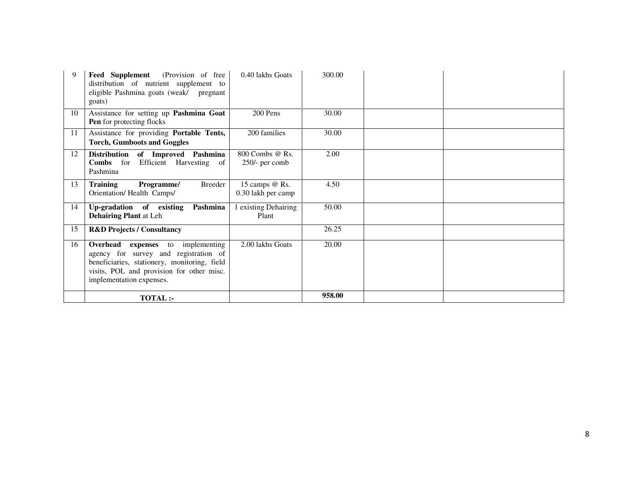| 9  | <b>Feed Supplement</b> (Provision of free<br>distribution of nutrient supplement to<br>eligible Pashmina goats (weak/ pregnant<br>goats)                                                                   | 0.40 lakhs Goats                     | 300.00 |  |
|----|------------------------------------------------------------------------------------------------------------------------------------------------------------------------------------------------------------|--------------------------------------|--------|--|
| 10 | Assistance for setting up Pashmina Goat<br><b>Pen</b> for protecting flocks                                                                                                                                | 200 Pens                             | 30.00  |  |
| 11 | Assistance for providing Portable Tents,<br><b>Torch, Gumboots and Goggles</b>                                                                                                                             | 200 families                         | 30.00  |  |
| 12 | Distribution of Improved Pashmina<br>Combs for Efficient Harvesting of<br>Pashmina                                                                                                                         | 800 Combs @ Rs.<br>$250/-$ per comb  | 2.00   |  |
| 13 | <b>Training</b><br>Breeder<br>Programme/<br>Orientation/ Health Camps/                                                                                                                                     | 15 camps @ Rs.<br>0.30 lakh per camp | 4.50   |  |
| 14 | Up-gradation of existing<br>Pashmina<br><b>Dehairing Plant at Leh</b>                                                                                                                                      | 1 existing Dehairing<br>Plant        | 50.00  |  |
| 15 | <b>R&amp;D Projects / Consultancy</b>                                                                                                                                                                      |                                      | 26.25  |  |
| 16 | <b>Overhead</b> expenses to implementing<br>agency for survey and registration of<br>beneficiaries, stationery, monitoring, field<br>visits, POL and provision for other misc.<br>implementation expenses. | 2.00 lakhs Goats                     | 20.00  |  |
|    | <b>TOTAL:-</b>                                                                                                                                                                                             |                                      | 958.00 |  |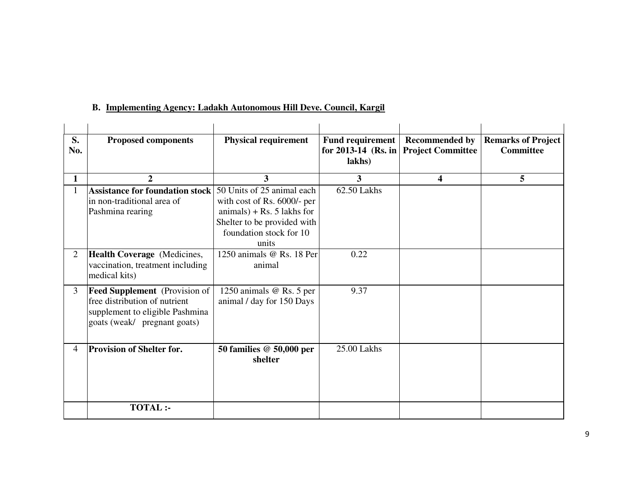| S.<br>No.      | <b>Proposed components</b>                                                                                                               | <b>Physical requirement</b>                                                                                                                                  | <b>Fund requirement</b><br>for 2013-14 (Rs. in<br>lakhs) | <b>Recommended by</b><br><b>Project Committee</b> | <b>Remarks of Project</b><br><b>Committee</b> |
|----------------|------------------------------------------------------------------------------------------------------------------------------------------|--------------------------------------------------------------------------------------------------------------------------------------------------------------|----------------------------------------------------------|---------------------------------------------------|-----------------------------------------------|
| 1              | $\overline{2}$                                                                                                                           | 3                                                                                                                                                            | 3                                                        | 4                                                 | 5                                             |
|                | <b>Assistance for foundation stock</b><br>lin non-traditional area of<br>Pashmina rearing                                                | 50 Units of 25 animal each<br>with cost of Rs. 6000/- per<br>$animals) + Rs. 5$ lakhs for<br>Shelter to be provided with<br>foundation stock for 10<br>units | 62.50 Lakhs                                              |                                                   |                                               |
| $\overline{2}$ | Health Coverage (Medicines,<br>vaccination, treatment including<br>medical kits)                                                         | 1250 animals @ Rs. 18 Per<br>animal                                                                                                                          | 0.22                                                     |                                                   |                                               |
| 3              | <b>Feed Supplement</b> (Provision of<br>free distribution of nutrient<br>supplement to eligible Pashmina<br>goats (weak/ pregnant goats) | 1250 animals @ Rs. 5 per<br>animal / day for 150 Days                                                                                                        | 9.37                                                     |                                                   |                                               |
| 4              | <b>Provision of Shelter for.</b>                                                                                                         | 50 families @ 50,000 per<br>shelter                                                                                                                          | 25.00 Lakhs                                              |                                                   |                                               |
|                | <b>TOTAL:-</b>                                                                                                                           |                                                                                                                                                              |                                                          |                                                   |                                               |

#### **B. Implementing Agency: Ladakh Autonomous Hill Deve. Council, Kargil**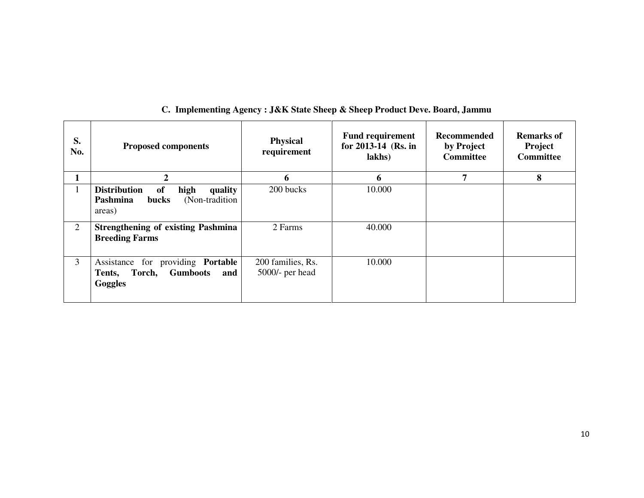| S.<br>No.      | <b>Proposed components</b>                                                                        | <b>Physical</b><br>requirement       | <b>Fund requirement</b><br>for 2013-14 (Rs. in<br>lakhs) | <b>Recommended</b><br>by Project<br><b>Committee</b> | <b>Remarks of</b><br>Project<br><b>Committee</b> |
|----------------|---------------------------------------------------------------------------------------------------|--------------------------------------|----------------------------------------------------------|------------------------------------------------------|--------------------------------------------------|
|                | $\overline{2}$                                                                                    | 6                                    | 6                                                        | 7                                                    | 8                                                |
|                | <b>Distribution</b><br>of<br>high<br>quality<br>(Non-tradition)<br>Pashmina<br>bucks<br>areas)    | 200 bucks                            | 10.000                                                   |                                                      |                                                  |
| $\overline{2}$ | <b>Strengthening of existing Pashmina</b><br><b>Breeding Farms</b>                                | 2 Farms                              | 40.000                                                   |                                                      |                                                  |
| $\overline{3}$ | Assistance for providing Portable<br><b>Gumboots</b><br>Torch,<br>Tents,<br>and<br><b>Goggles</b> | 200 families, Rs.<br>5000/- per head | 10.000                                                   |                                                      |                                                  |

#### **C. Implementing Agency : J&K State Sheep & Sheep Product Deve. Board, Jammu**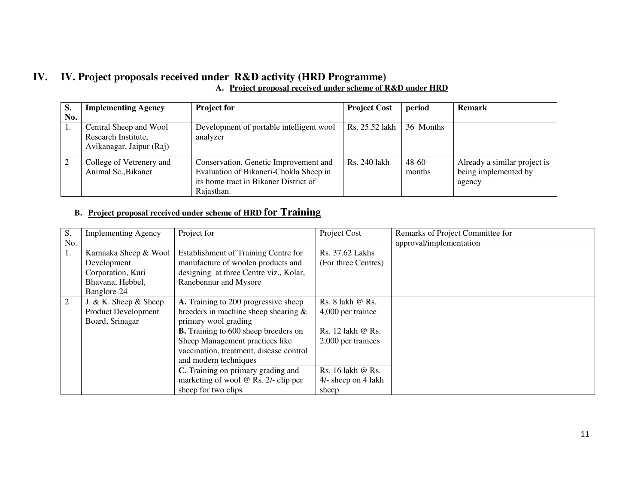# **IV. IV. Project proposals received under R&D activity (HRD Programme)**

|  | A. Project proposal received under scheme of R&D under HRD |  |  |  |
|--|------------------------------------------------------------|--|--|--|
|  |                                                            |  |  |  |

| S.  | <b>Implementing Agency</b>                                                | <b>Project for</b>                                                                                                                     | <b>Project Cost</b> | period          | <b>Remark</b>                                                  |
|-----|---------------------------------------------------------------------------|----------------------------------------------------------------------------------------------------------------------------------------|---------------------|-----------------|----------------------------------------------------------------|
| No. |                                                                           |                                                                                                                                        |                     |                 |                                                                |
|     | Central Sheep and Wool<br>Research Institute.<br>Avikanagar, Jaipur (Raj) | Development of portable intelligent wool<br>analyzer                                                                                   | Rs. 25.52 lakh      | 36 Months       |                                                                |
|     | College of Vetrenery and<br>Animal Sc., Bikaner                           | Conservation, Genetic Improvement and<br>Evaluation of Bikaneri-Chokla Sheep in<br>its home tract in Bikaner District of<br>Rajasthan. | Rs. 240 lakh        | 48-60<br>months | Already a similar project is<br>being implemented by<br>agency |

#### **B. Project proposal received under scheme of HRD for Training**

| S.  | <b>Implementing Agency</b> | Project for                                 | Project Cost        | Remarks of Project Committee for |
|-----|----------------------------|---------------------------------------------|---------------------|----------------------------------|
| No. |                            |                                             |                     | approval/implementation          |
| 1.  | Karnaaka Sheep & Wool      | Establishment of Training Centre for        | Rs. 37.62 Lakhs     |                                  |
|     | Development                | manufacture of woolen products and          | (For three Centres) |                                  |
|     | Corporation, Kuri          | designing at three Centre viz., Kolar,      |                     |                                  |
|     | Bhavana, Hebbel,           | Ranebennur and Mysore                       |                     |                                  |
|     | Banglore-24                |                                             |                     |                                  |
| 2   | J. & K. Sheep $&$ Sheep    | A. Training to 200 progressive sheep        | Rs. 8 lakh @ Rs.    |                                  |
|     | <b>Product Development</b> | breeders in machine sheep shearing $\&$     | 4,000 per trainee   |                                  |
|     | Board, Srinagar            | primary wool grading                        |                     |                                  |
|     |                            | <b>B.</b> Training to 600 sheep breeders on | Rs. 12 lakh @ Rs.   |                                  |
|     |                            | Sheep Management practices like             | 2,000 per trainees  |                                  |
|     |                            | vaccination, treatment, disease control     |                     |                                  |
|     |                            | and modern techniques                       |                     |                                  |
|     |                            | C. Training on primary grading and          | Rs. 16 lakh @ Rs.   |                                  |
|     |                            | marketing of wool $@$ Rs. 2/- clip per      | 4/- sheep on 4 lakh |                                  |
|     |                            | sheep for two clips                         | sheep               |                                  |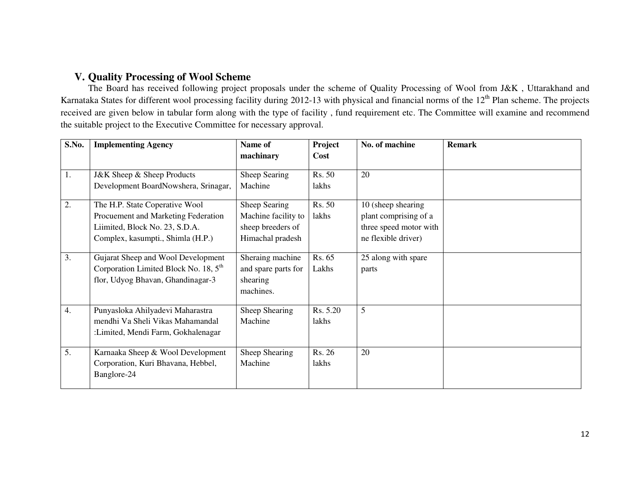## **V. Quality Processing of Wool Scheme**

 The Board has received following project proposals under the scheme of Quality Processing of Wool from J&K , Uttarakhand and Karnataka States for different wool processing facility during 2012-13 with physical and financial norms of the 12<sup>th</sup> Plan scheme. The projects received are given below in tabular form along with the type of facility , fund requirement etc. The Committee will examine and recommend the suitable project to the Executive Committee for necessary approval.

| S.No.            | <b>Implementing Agency</b>              | Name of             | Project  | No. of machine         | <b>Remark</b> |
|------------------|-----------------------------------------|---------------------|----------|------------------------|---------------|
|                  |                                         | machinary           | Cost     |                        |               |
| 1.               | J&K Sheep & Sheep Products              | Sheep Searing       | Rs. 50   | 20                     |               |
|                  | Development BoardNowshera, Srinagar,    | Machine             | lakhs    |                        |               |
| 2.               | The H.P. State Coperative Wool          | Sheep Searing       | Rs. 50   | 10 (sheep shearing     |               |
|                  | Procuement and Marketing Federation     | Machine facility to | lakhs    | plant comprising of a  |               |
|                  | Liimited, Block No. 23, S.D.A.          | sheep breeders of   |          | three speed motor with |               |
|                  | Complex, kasumpti., Shimla (H.P.)       | Himachal pradesh    |          | ne flexible driver)    |               |
| 3.               | Gujarat Sheep and Wool Development      | Sheraing machine    | Rs. 65   | 25 along with spare    |               |
|                  | Corporation Limited Block No. 18, $5th$ | and spare parts for | Lakhs    | parts                  |               |
|                  | flor, Udyog Bhavan, Ghandinagar-3       | shearing            |          |                        |               |
|                  |                                         | machines.           |          |                        |               |
| $\overline{4}$ . | Punyasloka Ahilyadevi Maharastra        | Sheep Shearing      | Rs. 5.20 | 5                      |               |
|                  | mendhi Va Sheli Vikas Mahamandal        | Machine             | lakhs    |                        |               |
|                  | :Limited, Mendi Farm, Gokhalenagar      |                     |          |                        |               |
| 5.               | Karnaaka Sheep & Wool Development       | Sheep Shearing      | Rs. 26   | 20                     |               |
|                  | Corporation, Kuri Bhavana, Hebbel,      | Machine             | lakhs    |                        |               |
|                  | Banglore-24                             |                     |          |                        |               |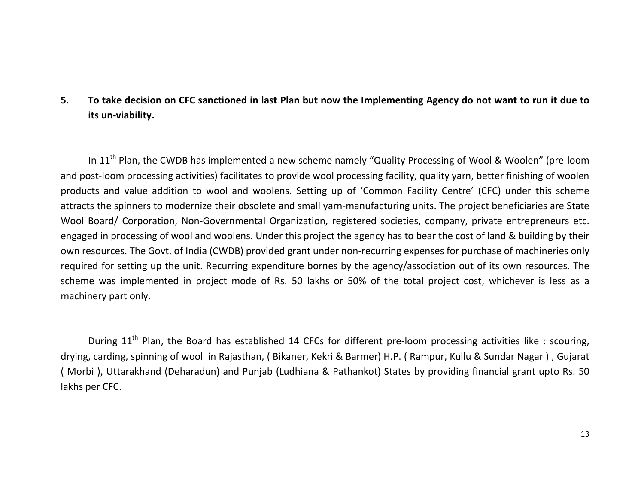# 5. To take decision on CFC sanctioned in last Plan but now the Implementing Agency do not want to run it due to its un-viability.

In 11<sup>th</sup> Plan, the CWDB has implemented a new scheme namely "Quality Processing of Wool & Woolen" (pre-loom and post-loom processing activities) facilitates to provide wool processing facility, quality yarn, better finishing of woolen products and value addition to wool and woolens. Setting up of 'Common Facility Centre' (CFC) under this scheme attracts the spinners to modernize their obsolete and small yarn-manufacturing units. The project beneficiaries are State Wool Board/ Corporation, Non-Governmental Organization, registered societies, company, private entrepreneurs etc. engaged in processing of wool and woolens. Under this project the agency has to bear the cost of land & building by their own resources. The Govt. of India (CWDB) provided grant under non-recurring expenses for purchase of machineries only required for setting up the unit. Recurring expenditure bornes by the agency/association out of its own resources. The scheme was implemented in project mode of Rs. 50 lakhs or 50% of the total project cost, whichever is less as a machinery part only.

During  $11<sup>th</sup>$  Plan, the Board has established 14 CFCs for different pre-loom processing activities like : scouring, drying, carding, spinning of wool in Rajasthan, ( Bikaner, Kekri & Barmer) H.P. ( Rampur, Kullu & Sundar Nagar ) , Gujarat ( Morbi ), Uttarakhand (Deharadun) and Punjab (Ludhiana & Pathankot) States by providing financial grant upto Rs. 50 lakhs per CFC.